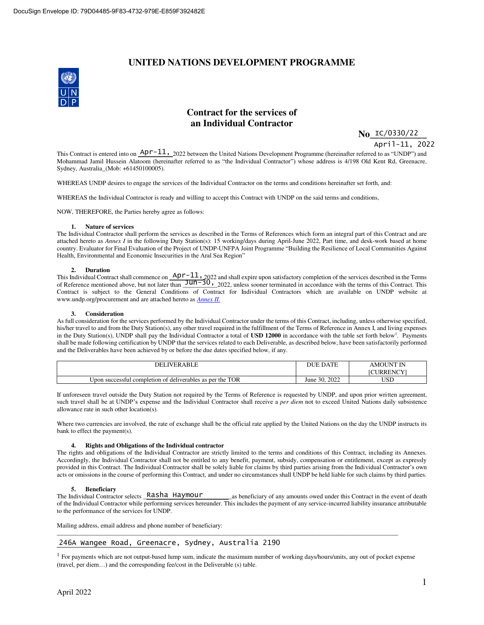# **UNITED NATIONS DEVELOPMENT PROGRAMME**



# **Contract for the services of an Individual Contractor**

**No\_IC/0330/22** 

April-11, 2022

This Contract is entered into on  $\frac{\text{Apr}-11}{2022}$  between the United Nations Development Programme (hereinafter referred to as "UNDP") and Mohammad Jamil Hussein Alatoom (hereinafter referred to as "the Individual Contractor") whose address is 4/198 Old Kent Rd, Greenacre, Sydney, Australia\_(Mob: +61450100005).

WHEREAS UNDP desires to engage the services of the Individual Contractor on the terms and conditions hereinafter set forth, and:

WHEREAS the Individual Contractor is ready and willing to accept this Contract with UNDP on the said terms and conditions,

NOW, THEREFORE, the Parties hereby agree as follows:

## **1. Nature of services**

The Individual Contractor shall perform the services as described in the Terms of References which form an integral part of this Contract and are attached hereto as *Annex I* in the following Duty Station(s): 15 working/days during April-June 2022, Part time, and desk-work based at home country. Evaluator for Final Evaluation of the Project of UNDP-UNFPA Joint Programme "Building the Resilience of Local Communities Against Health, Environmental and Economic Insecurities in the Aral Sea Region"

## **2. Duration**

This Individual Contract shall commence on  $\frac{AP\Gamma - 11}{2022}$  and shall expire upon satisfactory completion of the services described in the Terms of Reference mentioned above, but not later than  $\underline{\text{Jun-30}}$ , 2022, unless sooner terminated in accordance with the terms of this Contract. This Contract is subject to the General Conditions of Contract for Individual Contractors which are available on UNDP website at www.undp.org/procurement and are attached hereto as *[Annex II.](https://popp.undp.org/_Layouts/15/POPPOpenDoc.aspx?ID=POPP-11-1909)* Apr-11,

#### **3. Consideration**

As full consideration for the services performed by the Individual Contractor under the terms of this Contract, including, unless otherwise specified, his/her travel to and from the Duty Station(s), any other travel required in the fulfillment of the Terms of Reference in Annex I, and living expenses in the Duty Station(s), UNDP shall pay the Individual Contractor a total of USD 12000 in accordance with the table set forth below<sup>1</sup>. Payments shall be made following certification by UNDP that the services related to each Deliverable, as described below, have been satisfactorily performed and the Deliverables have been achieved by or before the due dates specified below, if any.

| <b>IVERABLE</b><br>DEI                                                      | <b>DATE</b><br>H IF | 'IN<br><b>AMOUN</b><br><b>CURRENCY</b><br>Nŧ |
|-----------------------------------------------------------------------------|---------------------|----------------------------------------------|
| <b>TOR</b><br>deliverables as per the<br>i completion of<br>∪pon successful | 2022<br>June 30.    | TCT<br>ലാ∟                                   |

If unforeseen travel outside the Duty Station not required by the Terms of Reference is requested by UNDP, and upon prior written agreement, such travel shall be at UNDP's expense and the Individual Contractor shall receive a *per diem* not to exceed United Nations daily subsistence allowance rate in such other location(s).

Where two currencies are involved, the rate of exchange shall be the official rate applied by the United Nations on the day the UNDP instructs its bank to effect the payment(s).

## **4. Rights and Obligations of the Individual contractor**

The rights and obligations of the Individual Contractor are strictly limited to the terms and conditions of this Contract, including its Annexes. Accordingly, the Individual Contractor shall not be entitled to any benefit, payment, subsidy, compensation or entitlement, except as expressly provided in this Contract. The Individual Contractor shall be solely liable for claims by third parties arising from the Individual Contractor's own acts or omissions in the course of performing this Contract, and under no circumstances shall UNDP be held liable for such claims by third parties.

# **5. Beneficiary**

as beneficiary of any amounts owed under this Contract in the event of death of the Individual Contractor while performing services hereunder. This includes the payment of any service-incurred liability insurance attributable to the performance of the services for UNDP. The Individual Contractor selects Rasha Haymour

Mailing address, email address and phone number of beneficiary:

# 246A Wangee Road, Greenacre, Sydney, Australia 2190

<sup>1</sup> For payments which are not output-based lump sum, indicate the maximum number of working days/hours/units, any out of pocket expense (travel, per diem…) and the corresponding fee/cost in the Deliverable (s) table.

\_\_\_\_\_\_\_\_\_\_\_\_\_\_\_\_\_\_\_\_\_\_\_\_\_\_\_\_\_\_\_\_\_\_\_\_\_\_\_\_\_\_\_\_\_\_\_\_\_\_\_\_\_\_\_\_\_\_\_\_\_\_\_\_\_\_\_\_\_\_\_\_\_\_\_\_\_\_\_\_\_\_\_\_\_\_\_\_\_\_\_\_\_\_\_\_\_\_\_\_\_\_\_\_\_\_\_\_